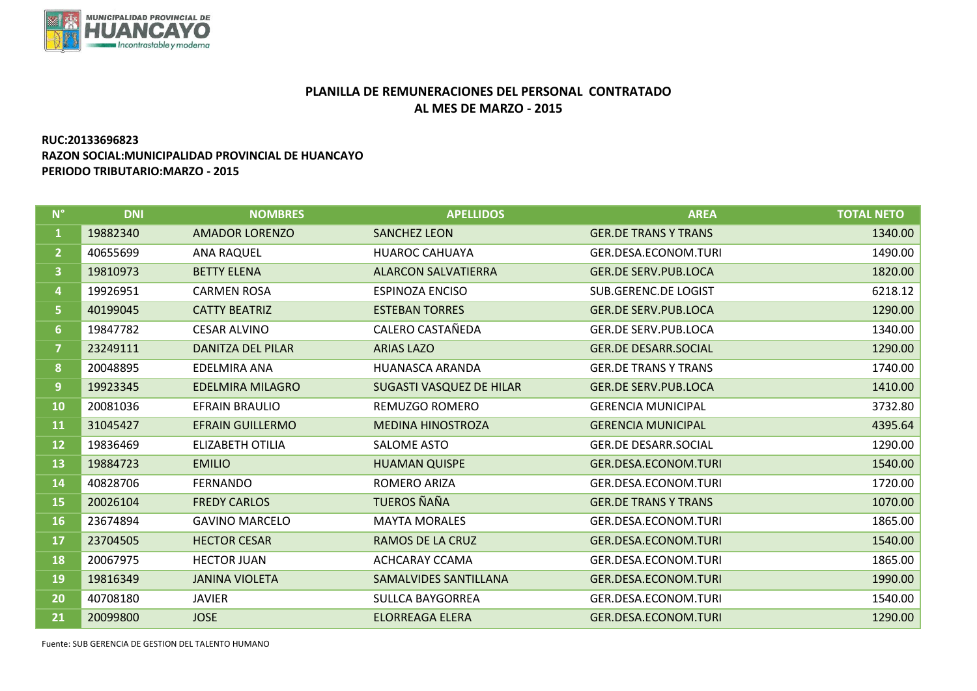

## **PLANILLA DE REMUNERACIONES DEL PERSONAL CONTRATADO AL MES DE MARZO - 2015**

## **RUC:20133696823 RAZON SOCIAL:MUNICIPALIDAD PROVINCIAL DE HUANCAYO PERIODO TRIBUTARIO:MARZO - 2015**

| $N^{\circ}$             | <b>DNI</b> | <b>NOMBRES</b>           | <b>APELLIDOS</b>                | <b>AREA</b>                 | <b>TOTAL NETO</b> |
|-------------------------|------------|--------------------------|---------------------------------|-----------------------------|-------------------|
| 1                       | 19882340   | <b>AMADOR LORENZO</b>    | <b>SANCHEZ LEON</b>             | <b>GER.DE TRANS Y TRANS</b> | 1340.00           |
| 2 <sup>2</sup>          | 40655699   | <b>ANA RAQUEL</b>        | <b>HUAROC CAHUAYA</b>           | GER.DESA.ECONOM.TURI        | 1490.00           |
| $\overline{\mathbf{3}}$ | 19810973   | <b>BETTY ELENA</b>       | <b>ALARCON SALVATIERRA</b>      | <b>GER.DE SERV.PUB.LOCA</b> | 1820.00           |
| $\overline{a}$          | 19926951   | <b>CARMEN ROSA</b>       | <b>ESPINOZA ENCISO</b>          | <b>SUB.GERENC.DE LOGIST</b> | 6218.12           |
| $\overline{\mathbf{5}}$ | 40199045   | <b>CATTY BEATRIZ</b>     | <b>ESTEBAN TORRES</b>           | <b>GER.DE SERV.PUB.LOCA</b> | 1290.00           |
| 6 <sup>1</sup>          | 19847782   | <b>CESAR ALVINO</b>      | CALERO CASTAÑEDA                | <b>GER.DE SERV.PUB.LOCA</b> | 1340.00           |
| 7                       | 23249111   | <b>DANITZA DEL PILAR</b> | <b>ARIAS LAZO</b>               | <b>GER.DE DESARR.SOCIAL</b> | 1290.00           |
| 8                       | 20048895   | EDELMIRA ANA             | <b>HUANASCA ARANDA</b>          | <b>GER.DE TRANS Y TRANS</b> | 1740.00           |
| $\overline{9}$          | 19923345   | <b>EDELMIRA MILAGRO</b>  | <b>SUGASTI VASQUEZ DE HILAR</b> | <b>GER.DE SERV.PUB.LOCA</b> | 1410.00           |
| 10                      | 20081036   | <b>EFRAIN BRAULIO</b>    | REMUZGO ROMERO                  | <b>GERENCIA MUNICIPAL</b>   | 3732.80           |
| 11                      | 31045427   | <b>EFRAIN GUILLERMO</b>  | <b>MEDINA HINOSTROZA</b>        | <b>GERENCIA MUNICIPAL</b>   | 4395.64           |
| 12                      | 19836469   | <b>ELIZABETH OTILIA</b>  | SALOME ASTO                     | <b>GER.DE DESARR.SOCIAL</b> | 1290.00           |
| 13                      | 19884723   | <b>EMILIO</b>            | <b>HUAMAN QUISPE</b>            | GER.DESA.ECONOM.TURI        | 1540.00           |
| 14                      | 40828706   | <b>FERNANDO</b>          | ROMERO ARIZA                    | GER.DESA.ECONOM.TURI        | 1720.00           |
| 15                      | 20026104   | <b>FREDY CARLOS</b>      | TUEROS ÑAÑA                     | <b>GER.DE TRANS Y TRANS</b> | 1070.00           |
| 16                      | 23674894   | <b>GAVINO MARCELO</b>    | <b>MAYTA MORALES</b>            | GER.DESA.ECONOM.TURI        | 1865.00           |
| 17                      | 23704505   | <b>HECTOR CESAR</b>      | <b>RAMOS DE LA CRUZ</b>         | GER.DESA.ECONOM.TURI        | 1540.00           |
| 18                      | 20067975   | <b>HECTOR JUAN</b>       | ACHCARAY CCAMA                  | GER.DESA.ECONOM.TURI        | 1865.00           |
| 19                      | 19816349   | <b>JANINA VIOLETA</b>    | <b>SAMALVIDES SANTILLANA</b>    | GER.DESA.ECONOM.TURI        | 1990.00           |
| 20                      | 40708180   | <b>JAVIER</b>            | <b>SULLCA BAYGORREA</b>         | GER.DESA.ECONOM.TURI        | 1540.00           |
| 21                      | 20099800   | <b>JOSE</b>              | <b>ELORREAGA ELERA</b>          | <b>GER.DESA.ECONOM.TURI</b> | 1290.00           |

Fuente: SUB GERENCIA DE GESTION DEL TALENTO HUMANO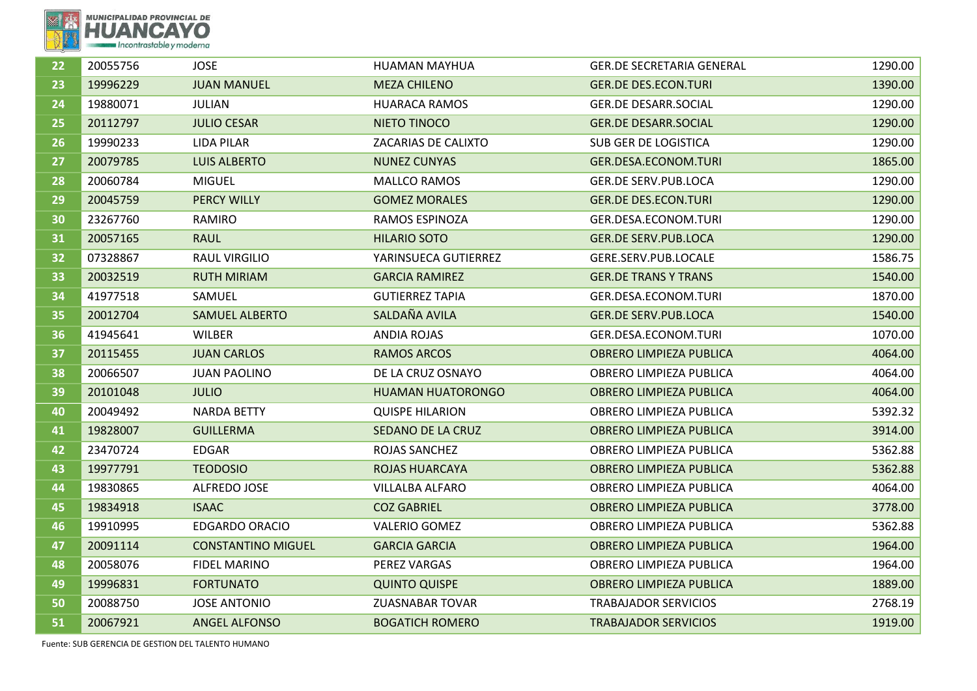

| 22 | 20055756 | <b>JOSE</b>               | HUAMAN MAYHUA            | <b>GER.DE SECRETARIA GENERAL</b> | 1290.00 |
|----|----------|---------------------------|--------------------------|----------------------------------|---------|
| 23 | 19996229 | <b>JUAN MANUEL</b>        | <b>MEZA CHILENO</b>      | <b>GER.DE DES.ECON.TURI</b>      | 1390.00 |
| 24 | 19880071 | <b>JULIAN</b>             | <b>HUARACA RAMOS</b>     | <b>GER.DE DESARR.SOCIAL</b>      | 1290.00 |
| 25 | 20112797 | <b>JULIO CESAR</b>        | NIETO TINOCO             | <b>GER.DE DESARR.SOCIAL</b>      | 1290.00 |
| 26 | 19990233 | <b>LIDA PILAR</b>         | ZACARIAS DE CALIXTO      | SUB GER DE LOGISTICA             | 1290.00 |
| 27 | 20079785 | <b>LUIS ALBERTO</b>       | <b>NUNEZ CUNYAS</b>      | GER.DESA.ECONOM.TURI             | 1865.00 |
| 28 | 20060784 | <b>MIGUEL</b>             | MALLCO RAMOS             | <b>GER.DE SERV.PUB.LOCA</b>      | 1290.00 |
| 29 | 20045759 | <b>PERCY WILLY</b>        | <b>GOMEZ MORALES</b>     | <b>GER.DE DES.ECON.TURI</b>      | 1290.00 |
| 30 | 23267760 | RAMIRO                    | <b>RAMOS ESPINOZA</b>    | GER.DESA.ECONOM.TURI             | 1290.00 |
| 31 | 20057165 | <b>RAUL</b>               | <b>HILARIO SOTO</b>      | <b>GER.DE SERV.PUB.LOCA</b>      | 1290.00 |
| 32 | 07328867 | <b>RAUL VIRGILIO</b>      | YARINSUECA GUTIERREZ     | GERE.SERV.PUB.LOCALE             | 1586.75 |
| 33 | 20032519 | <b>RUTH MIRIAM</b>        | <b>GARCIA RAMIREZ</b>    | <b>GER.DE TRANS Y TRANS</b>      | 1540.00 |
| 34 | 41977518 | SAMUEL                    | <b>GUTIERREZ TAPIA</b>   | GER.DESA.ECONOM.TURI             | 1870.00 |
| 35 | 20012704 | <b>SAMUEL ALBERTO</b>     | SALDAÑA AVILA            | <b>GER.DE SERV.PUB.LOCA</b>      | 1540.00 |
| 36 | 41945641 | <b>WILBER</b>             | <b>ANDIA ROJAS</b>       | GER.DESA.ECONOM.TURI             | 1070.00 |
| 37 | 20115455 | <b>JUAN CARLOS</b>        | <b>RAMOS ARCOS</b>       | <b>OBRERO LIMPIEZA PUBLICA</b>   | 4064.00 |
| 38 | 20066507 | <b>JUAN PAOLINO</b>       | DE LA CRUZ OSNAYO        | OBRERO LIMPIEZA PUBLICA          | 4064.00 |
| 39 | 20101048 | <b>JULIO</b>              | <b>HUAMAN HUATORONGO</b> | OBRERO LIMPIEZA PUBLICA          | 4064.00 |
| 40 | 20049492 | <b>NARDA BETTY</b>        | <b>QUISPE HILARION</b>   | OBRERO LIMPIEZA PUBLICA          | 5392.32 |
| 41 | 19828007 | <b>GUILLERMA</b>          | SEDANO DE LA CRUZ        | <b>OBRERO LIMPIEZA PUBLICA</b>   | 3914.00 |
| 42 | 23470724 | <b>EDGAR</b>              | ROJAS SANCHEZ            | OBRERO LIMPIEZA PUBLICA          | 5362.88 |
| 43 | 19977791 | <b>TEODOSIO</b>           | <b>ROJAS HUARCAYA</b>    | <b>OBRERO LIMPIEZA PUBLICA</b>   | 5362.88 |
| 44 | 19830865 | ALFREDO JOSE              | <b>VILLALBA ALFARO</b>   | OBRERO LIMPIEZA PUBLICA          | 4064.00 |
| 45 | 19834918 | <b>ISAAC</b>              | <b>COZ GABRIEL</b>       | <b>OBRERO LIMPIEZA PUBLICA</b>   | 3778.00 |
| 46 | 19910995 | <b>EDGARDO ORACIO</b>     | <b>VALERIO GOMEZ</b>     | OBRERO LIMPIEZA PUBLICA          | 5362.88 |
| 47 | 20091114 | <b>CONSTANTINO MIGUEL</b> | <b>GARCIA GARCIA</b>     | <b>OBRERO LIMPIEZA PUBLICA</b>   | 1964.00 |
| 48 | 20058076 | <b>FIDEL MARINO</b>       | PEREZ VARGAS             | OBRERO LIMPIEZA PUBLICA          | 1964.00 |
| 49 | 19996831 | <b>FORTUNATO</b>          | <b>QUINTO QUISPE</b>     | <b>OBRERO LIMPIEZA PUBLICA</b>   | 1889.00 |
| 50 | 20088750 | <b>JOSE ANTONIO</b>       | <b>ZUASNABAR TOVAR</b>   | <b>TRABAJADOR SERVICIOS</b>      | 2768.19 |
| 51 | 20067921 | <b>ANGEL ALFONSO</b>      | <b>BOGATICH ROMERO</b>   | <b>TRABAJADOR SERVICIOS</b>      | 1919.00 |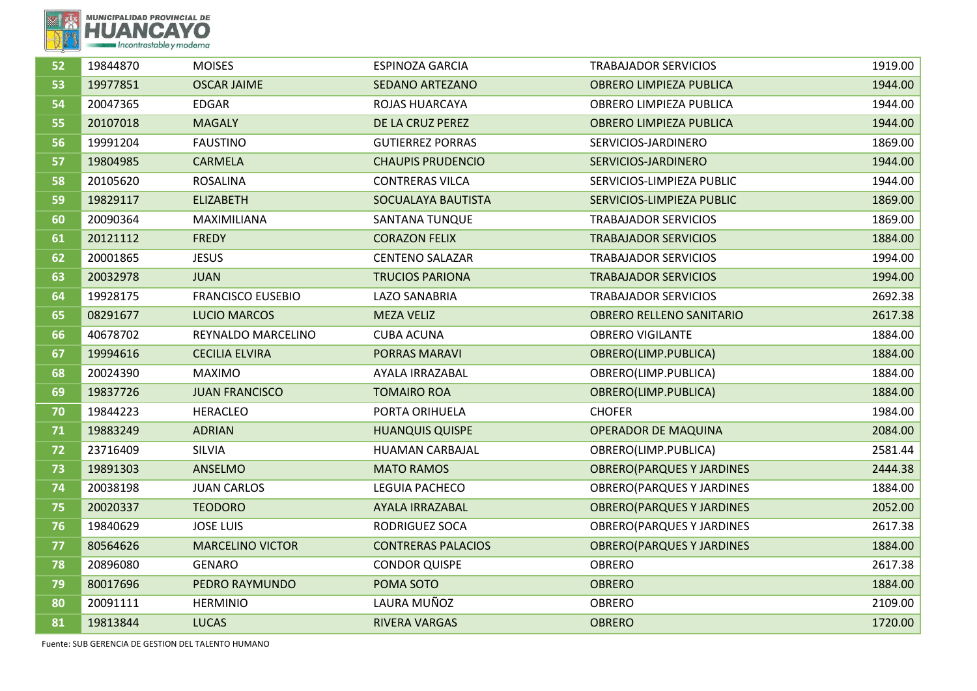

| 53<br>19977851<br>1944.00<br><b>OSCAR JAIME</b><br><b>SEDANO ARTEZANO</b><br><b>OBRERO LIMPIEZA PUBLICA</b><br>54<br>20047365<br>1944.00<br><b>EDGAR</b><br>ROJAS HUARCAYA<br>OBRERO LIMPIEZA PUBLICA<br>55<br><b>OBRERO LIMPIEZA PUBLICA</b><br>20107018<br><b>MAGALY</b><br>DE LA CRUZ PEREZ<br>1944.00<br>56<br>1869.00<br>19991204<br><b>FAUSTINO</b><br><b>GUTIERREZ PORRAS</b><br>SERVICIOS-JARDINERO<br>57<br>19804985<br><b>CARMELA</b><br><b>CHAUPIS PRUDENCIO</b><br>SERVICIOS-JARDINERO<br>1944.00<br>58<br><b>CONTRERAS VILCA</b><br>SERVICIOS-LIMPIEZA PUBLIC<br>20105620<br><b>ROSALINA</b><br>1944.00<br>SERVICIOS-LIMPIEZA PUBLIC<br>59<br>19829117<br><b>ELIZABETH</b><br>SOCUALAYA BAUTISTA<br>1869.00<br>60<br>1869.00<br>20090364<br><b>SANTANA TUNQUE</b><br><b>TRABAJADOR SERVICIOS</b><br>MAXIMILIANA<br>61<br><b>FREDY</b><br><b>TRABAJADOR SERVICIOS</b><br>1884.00<br>20121112<br><b>CORAZON FELIX</b><br>62<br>20001865<br><b>JESUS</b><br><b>CENTENO SALAZAR</b><br><b>TRABAJADOR SERVICIOS</b><br>1994.00<br>63<br>20032978<br><b>TRUCIOS PARIONA</b><br><b>TRABAJADOR SERVICIOS</b><br>1994.00<br><b>JUAN</b><br>64<br>19928175<br><b>FRANCISCO EUSEBIO</b><br><b>LAZO SANABRIA</b><br><b>TRABAJADOR SERVICIOS</b><br>2692.38<br>2617.38<br>65<br>08291677<br><b>LUCIO MARCOS</b><br><b>MEZA VELIZ</b><br><b>OBRERO RELLENO SANITARIO</b><br>1884.00<br>66<br>40678702<br>REYNALDO MARCELINO<br><b>CUBA ACUNA</b><br><b>OBRERO VIGILANTE</b><br>67<br>1884.00<br>19994616<br><b>CECILIA ELVIRA</b><br><b>PORRAS MARAVI</b><br>OBRERO(LIMP.PUBLICA)<br>68<br>20024390<br><b>MAXIMO</b><br>AYALA IRRAZABAL<br>OBRERO(LIMP.PUBLICA)<br>1884.00<br>69<br>19837726<br><b>JUAN FRANCISCO</b><br><b>TOMAIRO ROA</b><br>OBRERO(LIMP.PUBLICA)<br>1884.00<br>PORTA ORIHUELA<br><b>CHOFER</b><br>1984.00<br>70<br>19844223<br><b>HERACLEO</b><br>71<br>19883249<br><b>ADRIAN</b><br><b>OPERADOR DE MAQUINA</b><br>2084.00<br><b>HUANQUIS QUISPE</b><br>72<br><b>SILVIA</b><br>2581.44<br>23716409<br>HUAMAN CARBAJAL<br>OBRERO(LIMP.PUBLICA)<br>73<br>2444.38<br>19891303<br>ANSELMO<br><b>MATO RAMOS</b><br><b>OBRERO(PARQUES Y JARDINES</b><br>74<br>1884.00<br>20038198<br><b>JUAN CARLOS</b><br>LEGUIA PACHECO<br><b>OBRERO(PARQUES Y JARDINES</b><br>75<br>20020337<br><b>TEODORO</b><br><b>AYALA IRRAZABAL</b><br><b>OBRERO(PARQUES Y JARDINES</b><br>2052.00<br>76<br>19840629<br><b>JOSE LUIS</b><br><b>RODRIGUEZ SOCA</b><br><b>OBRERO(PARQUES Y JARDINES</b><br>2617.38<br>1884.00<br>77<br>80564626<br><b>MARCELINO VICTOR</b><br><b>CONTRERAS PALACIOS</b><br><b>OBRERO(PARQUES Y JARDINES</b><br>78<br>20896080<br><b>CONDOR QUISPE</b><br><b>OBRERO</b><br>2617.38<br><b>GENARO</b><br>1884.00<br>79<br>80017696<br>PEDRO RAYMUNDO<br>POMA SOTO<br><b>OBRERO</b><br>LAURA MUÑOZ<br>80<br><b>OBRERO</b><br>2109.00<br>20091111<br><b>HERMINIO</b><br>81<br><b>LUCAS</b><br><b>RIVERA VARGAS</b><br><b>OBRERO</b><br>1720.00<br>19813844 | 52 | 19844870 | <b>MOISES</b> | <b>ESPINOZA GARCIA</b> | <b>TRABAJADOR SERVICIOS</b> | 1919.00 |
|-------------------------------------------------------------------------------------------------------------------------------------------------------------------------------------------------------------------------------------------------------------------------------------------------------------------------------------------------------------------------------------------------------------------------------------------------------------------------------------------------------------------------------------------------------------------------------------------------------------------------------------------------------------------------------------------------------------------------------------------------------------------------------------------------------------------------------------------------------------------------------------------------------------------------------------------------------------------------------------------------------------------------------------------------------------------------------------------------------------------------------------------------------------------------------------------------------------------------------------------------------------------------------------------------------------------------------------------------------------------------------------------------------------------------------------------------------------------------------------------------------------------------------------------------------------------------------------------------------------------------------------------------------------------------------------------------------------------------------------------------------------------------------------------------------------------------------------------------------------------------------------------------------------------------------------------------------------------------------------------------------------------------------------------------------------------------------------------------------------------------------------------------------------------------------------------------------------------------------------------------------------------------------------------------------------------------------------------------------------------------------------------------------------------------------------------------------------------------------------------------------------------------------------------------------------------------------------------------------------------------------------------------------------------------------------------------------------------------------------------------------------------------------------------------------------------------------------------------------------------------------------------------------------------------------------------------------------------------|----|----------|---------------|------------------------|-----------------------------|---------|
|                                                                                                                                                                                                                                                                                                                                                                                                                                                                                                                                                                                                                                                                                                                                                                                                                                                                                                                                                                                                                                                                                                                                                                                                                                                                                                                                                                                                                                                                                                                                                                                                                                                                                                                                                                                                                                                                                                                                                                                                                                                                                                                                                                                                                                                                                                                                                                                                                                                                                                                                                                                                                                                                                                                                                                                                                                                                                                                                                                         |    |          |               |                        |                             |         |
|                                                                                                                                                                                                                                                                                                                                                                                                                                                                                                                                                                                                                                                                                                                                                                                                                                                                                                                                                                                                                                                                                                                                                                                                                                                                                                                                                                                                                                                                                                                                                                                                                                                                                                                                                                                                                                                                                                                                                                                                                                                                                                                                                                                                                                                                                                                                                                                                                                                                                                                                                                                                                                                                                                                                                                                                                                                                                                                                                                         |    |          |               |                        |                             |         |
|                                                                                                                                                                                                                                                                                                                                                                                                                                                                                                                                                                                                                                                                                                                                                                                                                                                                                                                                                                                                                                                                                                                                                                                                                                                                                                                                                                                                                                                                                                                                                                                                                                                                                                                                                                                                                                                                                                                                                                                                                                                                                                                                                                                                                                                                                                                                                                                                                                                                                                                                                                                                                                                                                                                                                                                                                                                                                                                                                                         |    |          |               |                        |                             |         |
|                                                                                                                                                                                                                                                                                                                                                                                                                                                                                                                                                                                                                                                                                                                                                                                                                                                                                                                                                                                                                                                                                                                                                                                                                                                                                                                                                                                                                                                                                                                                                                                                                                                                                                                                                                                                                                                                                                                                                                                                                                                                                                                                                                                                                                                                                                                                                                                                                                                                                                                                                                                                                                                                                                                                                                                                                                                                                                                                                                         |    |          |               |                        |                             |         |
|                                                                                                                                                                                                                                                                                                                                                                                                                                                                                                                                                                                                                                                                                                                                                                                                                                                                                                                                                                                                                                                                                                                                                                                                                                                                                                                                                                                                                                                                                                                                                                                                                                                                                                                                                                                                                                                                                                                                                                                                                                                                                                                                                                                                                                                                                                                                                                                                                                                                                                                                                                                                                                                                                                                                                                                                                                                                                                                                                                         |    |          |               |                        |                             |         |
|                                                                                                                                                                                                                                                                                                                                                                                                                                                                                                                                                                                                                                                                                                                                                                                                                                                                                                                                                                                                                                                                                                                                                                                                                                                                                                                                                                                                                                                                                                                                                                                                                                                                                                                                                                                                                                                                                                                                                                                                                                                                                                                                                                                                                                                                                                                                                                                                                                                                                                                                                                                                                                                                                                                                                                                                                                                                                                                                                                         |    |          |               |                        |                             |         |
|                                                                                                                                                                                                                                                                                                                                                                                                                                                                                                                                                                                                                                                                                                                                                                                                                                                                                                                                                                                                                                                                                                                                                                                                                                                                                                                                                                                                                                                                                                                                                                                                                                                                                                                                                                                                                                                                                                                                                                                                                                                                                                                                                                                                                                                                                                                                                                                                                                                                                                                                                                                                                                                                                                                                                                                                                                                                                                                                                                         |    |          |               |                        |                             |         |
|                                                                                                                                                                                                                                                                                                                                                                                                                                                                                                                                                                                                                                                                                                                                                                                                                                                                                                                                                                                                                                                                                                                                                                                                                                                                                                                                                                                                                                                                                                                                                                                                                                                                                                                                                                                                                                                                                                                                                                                                                                                                                                                                                                                                                                                                                                                                                                                                                                                                                                                                                                                                                                                                                                                                                                                                                                                                                                                                                                         |    |          |               |                        |                             |         |
|                                                                                                                                                                                                                                                                                                                                                                                                                                                                                                                                                                                                                                                                                                                                                                                                                                                                                                                                                                                                                                                                                                                                                                                                                                                                                                                                                                                                                                                                                                                                                                                                                                                                                                                                                                                                                                                                                                                                                                                                                                                                                                                                                                                                                                                                                                                                                                                                                                                                                                                                                                                                                                                                                                                                                                                                                                                                                                                                                                         |    |          |               |                        |                             |         |
|                                                                                                                                                                                                                                                                                                                                                                                                                                                                                                                                                                                                                                                                                                                                                                                                                                                                                                                                                                                                                                                                                                                                                                                                                                                                                                                                                                                                                                                                                                                                                                                                                                                                                                                                                                                                                                                                                                                                                                                                                                                                                                                                                                                                                                                                                                                                                                                                                                                                                                                                                                                                                                                                                                                                                                                                                                                                                                                                                                         |    |          |               |                        |                             |         |
|                                                                                                                                                                                                                                                                                                                                                                                                                                                                                                                                                                                                                                                                                                                                                                                                                                                                                                                                                                                                                                                                                                                                                                                                                                                                                                                                                                                                                                                                                                                                                                                                                                                                                                                                                                                                                                                                                                                                                                                                                                                                                                                                                                                                                                                                                                                                                                                                                                                                                                                                                                                                                                                                                                                                                                                                                                                                                                                                                                         |    |          |               |                        |                             |         |
|                                                                                                                                                                                                                                                                                                                                                                                                                                                                                                                                                                                                                                                                                                                                                                                                                                                                                                                                                                                                                                                                                                                                                                                                                                                                                                                                                                                                                                                                                                                                                                                                                                                                                                                                                                                                                                                                                                                                                                                                                                                                                                                                                                                                                                                                                                                                                                                                                                                                                                                                                                                                                                                                                                                                                                                                                                                                                                                                                                         |    |          |               |                        |                             |         |
|                                                                                                                                                                                                                                                                                                                                                                                                                                                                                                                                                                                                                                                                                                                                                                                                                                                                                                                                                                                                                                                                                                                                                                                                                                                                                                                                                                                                                                                                                                                                                                                                                                                                                                                                                                                                                                                                                                                                                                                                                                                                                                                                                                                                                                                                                                                                                                                                                                                                                                                                                                                                                                                                                                                                                                                                                                                                                                                                                                         |    |          |               |                        |                             |         |
|                                                                                                                                                                                                                                                                                                                                                                                                                                                                                                                                                                                                                                                                                                                                                                                                                                                                                                                                                                                                                                                                                                                                                                                                                                                                                                                                                                                                                                                                                                                                                                                                                                                                                                                                                                                                                                                                                                                                                                                                                                                                                                                                                                                                                                                                                                                                                                                                                                                                                                                                                                                                                                                                                                                                                                                                                                                                                                                                                                         |    |          |               |                        |                             |         |
|                                                                                                                                                                                                                                                                                                                                                                                                                                                                                                                                                                                                                                                                                                                                                                                                                                                                                                                                                                                                                                                                                                                                                                                                                                                                                                                                                                                                                                                                                                                                                                                                                                                                                                                                                                                                                                                                                                                                                                                                                                                                                                                                                                                                                                                                                                                                                                                                                                                                                                                                                                                                                                                                                                                                                                                                                                                                                                                                                                         |    |          |               |                        |                             |         |
|                                                                                                                                                                                                                                                                                                                                                                                                                                                                                                                                                                                                                                                                                                                                                                                                                                                                                                                                                                                                                                                                                                                                                                                                                                                                                                                                                                                                                                                                                                                                                                                                                                                                                                                                                                                                                                                                                                                                                                                                                                                                                                                                                                                                                                                                                                                                                                                                                                                                                                                                                                                                                                                                                                                                                                                                                                                                                                                                                                         |    |          |               |                        |                             |         |
|                                                                                                                                                                                                                                                                                                                                                                                                                                                                                                                                                                                                                                                                                                                                                                                                                                                                                                                                                                                                                                                                                                                                                                                                                                                                                                                                                                                                                                                                                                                                                                                                                                                                                                                                                                                                                                                                                                                                                                                                                                                                                                                                                                                                                                                                                                                                                                                                                                                                                                                                                                                                                                                                                                                                                                                                                                                                                                                                                                         |    |          |               |                        |                             |         |
|                                                                                                                                                                                                                                                                                                                                                                                                                                                                                                                                                                                                                                                                                                                                                                                                                                                                                                                                                                                                                                                                                                                                                                                                                                                                                                                                                                                                                                                                                                                                                                                                                                                                                                                                                                                                                                                                                                                                                                                                                                                                                                                                                                                                                                                                                                                                                                                                                                                                                                                                                                                                                                                                                                                                                                                                                                                                                                                                                                         |    |          |               |                        |                             |         |
|                                                                                                                                                                                                                                                                                                                                                                                                                                                                                                                                                                                                                                                                                                                                                                                                                                                                                                                                                                                                                                                                                                                                                                                                                                                                                                                                                                                                                                                                                                                                                                                                                                                                                                                                                                                                                                                                                                                                                                                                                                                                                                                                                                                                                                                                                                                                                                                                                                                                                                                                                                                                                                                                                                                                                                                                                                                                                                                                                                         |    |          |               |                        |                             |         |
|                                                                                                                                                                                                                                                                                                                                                                                                                                                                                                                                                                                                                                                                                                                                                                                                                                                                                                                                                                                                                                                                                                                                                                                                                                                                                                                                                                                                                                                                                                                                                                                                                                                                                                                                                                                                                                                                                                                                                                                                                                                                                                                                                                                                                                                                                                                                                                                                                                                                                                                                                                                                                                                                                                                                                                                                                                                                                                                                                                         |    |          |               |                        |                             |         |
|                                                                                                                                                                                                                                                                                                                                                                                                                                                                                                                                                                                                                                                                                                                                                                                                                                                                                                                                                                                                                                                                                                                                                                                                                                                                                                                                                                                                                                                                                                                                                                                                                                                                                                                                                                                                                                                                                                                                                                                                                                                                                                                                                                                                                                                                                                                                                                                                                                                                                                                                                                                                                                                                                                                                                                                                                                                                                                                                                                         |    |          |               |                        |                             |         |
|                                                                                                                                                                                                                                                                                                                                                                                                                                                                                                                                                                                                                                                                                                                                                                                                                                                                                                                                                                                                                                                                                                                                                                                                                                                                                                                                                                                                                                                                                                                                                                                                                                                                                                                                                                                                                                                                                                                                                                                                                                                                                                                                                                                                                                                                                                                                                                                                                                                                                                                                                                                                                                                                                                                                                                                                                                                                                                                                                                         |    |          |               |                        |                             |         |
|                                                                                                                                                                                                                                                                                                                                                                                                                                                                                                                                                                                                                                                                                                                                                                                                                                                                                                                                                                                                                                                                                                                                                                                                                                                                                                                                                                                                                                                                                                                                                                                                                                                                                                                                                                                                                                                                                                                                                                                                                                                                                                                                                                                                                                                                                                                                                                                                                                                                                                                                                                                                                                                                                                                                                                                                                                                                                                                                                                         |    |          |               |                        |                             |         |
|                                                                                                                                                                                                                                                                                                                                                                                                                                                                                                                                                                                                                                                                                                                                                                                                                                                                                                                                                                                                                                                                                                                                                                                                                                                                                                                                                                                                                                                                                                                                                                                                                                                                                                                                                                                                                                                                                                                                                                                                                                                                                                                                                                                                                                                                                                                                                                                                                                                                                                                                                                                                                                                                                                                                                                                                                                                                                                                                                                         |    |          |               |                        |                             |         |
|                                                                                                                                                                                                                                                                                                                                                                                                                                                                                                                                                                                                                                                                                                                                                                                                                                                                                                                                                                                                                                                                                                                                                                                                                                                                                                                                                                                                                                                                                                                                                                                                                                                                                                                                                                                                                                                                                                                                                                                                                                                                                                                                                                                                                                                                                                                                                                                                                                                                                                                                                                                                                                                                                                                                                                                                                                                                                                                                                                         |    |          |               |                        |                             |         |
|                                                                                                                                                                                                                                                                                                                                                                                                                                                                                                                                                                                                                                                                                                                                                                                                                                                                                                                                                                                                                                                                                                                                                                                                                                                                                                                                                                                                                                                                                                                                                                                                                                                                                                                                                                                                                                                                                                                                                                                                                                                                                                                                                                                                                                                                                                                                                                                                                                                                                                                                                                                                                                                                                                                                                                                                                                                                                                                                                                         |    |          |               |                        |                             |         |
|                                                                                                                                                                                                                                                                                                                                                                                                                                                                                                                                                                                                                                                                                                                                                                                                                                                                                                                                                                                                                                                                                                                                                                                                                                                                                                                                                                                                                                                                                                                                                                                                                                                                                                                                                                                                                                                                                                                                                                                                                                                                                                                                                                                                                                                                                                                                                                                                                                                                                                                                                                                                                                                                                                                                                                                                                                                                                                                                                                         |    |          |               |                        |                             |         |
|                                                                                                                                                                                                                                                                                                                                                                                                                                                                                                                                                                                                                                                                                                                                                                                                                                                                                                                                                                                                                                                                                                                                                                                                                                                                                                                                                                                                                                                                                                                                                                                                                                                                                                                                                                                                                                                                                                                                                                                                                                                                                                                                                                                                                                                                                                                                                                                                                                                                                                                                                                                                                                                                                                                                                                                                                                                                                                                                                                         |    |          |               |                        |                             |         |
|                                                                                                                                                                                                                                                                                                                                                                                                                                                                                                                                                                                                                                                                                                                                                                                                                                                                                                                                                                                                                                                                                                                                                                                                                                                                                                                                                                                                                                                                                                                                                                                                                                                                                                                                                                                                                                                                                                                                                                                                                                                                                                                                                                                                                                                                                                                                                                                                                                                                                                                                                                                                                                                                                                                                                                                                                                                                                                                                                                         |    |          |               |                        |                             |         |

Fuente: SUB GERENCIA DE GESTION DEL TALENTO HUMANO